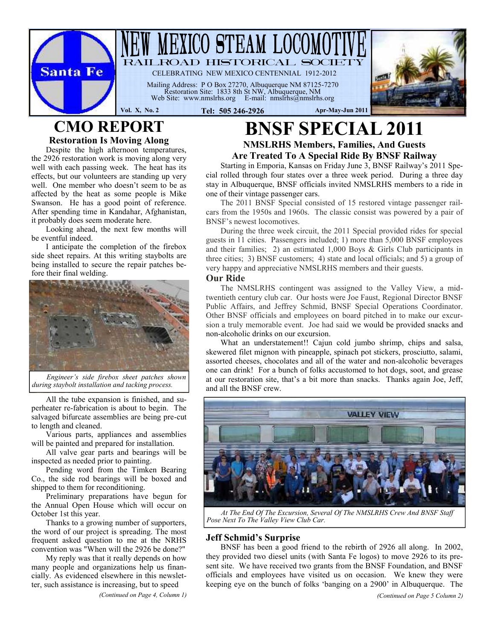

## **CMO REPORT Restoration Is Moving Along**

Despite the high afternoon temperatures, the 2926 restoration work is moving along very well with each passing week. The heat has its effects, but our volunteers are standing up very well. One member who doesn't seem to be as affected by the heat as some people is Mike Swanson. He has a good point of reference. After spending time in Kandahar, Afghanistan, it probably does seem moderate here.

Looking ahead, the next few months will be eventful indeed.

I anticipate the completion of the firebox side sheet repairs. At this writing staybolts are being installed to secure the repair patches before their final welding.



*Engineer's side firebox sheet patches shown during staybolt installation and tacking process.*

All the tube expansion is finished, and superheater re-fabrication is about to begin. The salvaged bifurcate assemblies are being pre-cut to length and cleaned.

Various parts, appliances and assemblies will be painted and prepared for installation.

All valve gear parts and bearings will be inspected as needed prior to painting.

Pending word from the Timken Bearing Co., the side rod bearings will be boxed and shipped to them for reconditioning.

Preliminary preparations have begun for the Annual Open House which will occur on October 1st this year.

Thanks to a growing number of supporters, the word of our project is spreading. The most frequent asked question to me at the NRHS convention was "When will the 2926 be done?"

My reply was that it really depends on how many people and organizations help us financially. As evidenced elsewhere in this newsletter, such assistance is increasing, but to speed

*(Continued on Page 4, Column 1)*

# **BNSF SPECIAL 2011 NMSLRHS Members, Families, And Guests**

**Are Treated To A Special Ride By BNSF Railway**

Starting in Emporia, Kansas on Friday June 3, BNSF Railway's 2011 Special rolled through four states over a three week period. During a three day stay in Albuquerque, BNSF officials invited NMSLRHS members to a ride in one of their vintage passenger cars.

The 2011 BNSF Special consisted of 15 restored vintage passenger railcars from the 1950s and 1960s. The classic consist was powered by a pair of BNSF's newest locomotives.

During the three week circuit, the 2011 Special provided rides for special guests in 11 cities. Passengers included; 1) more than 5,000 BNSF employees and their families; 2) an estimated 1,000 Boys & Girls Club participants in three cities; 3) BNSF customers; 4) state and local officials; and 5) a group of very happy and appreciative NMSLRHS members and their guests.

### **Our Ride**

The NMSLRHS contingent was assigned to the Valley View, a midtwentieth century club car. Our hosts were Joe Faust, Regional Director BNSF Public Affairs, and Jeffrey Schmid, BNSF Special Operations Coordinator. Other BNSF officials and employees on board pitched in to make our excursion a truly memorable event. Joe had said we would be provided snacks and non-alcoholic drinks on our excursion.

What an understatement!! Cajun cold jumbo shrimp, chips and salsa, skewered filet mignon with pineapple, spinach pot stickers, prosciutto, salami, assorted cheeses, chocolates and all of the water and non-alcoholic beverages one can drink! For a bunch of folks accustomed to hot dogs, soot, and grease at our restoration site, that's a bit more than snacks. Thanks again Joe, Jeff, and all the BNSF crew.



*At The End Of The Excursion, Several Of The NMSLRHS Crew And BNSF Staff Pose Next To The Valley View Club Car.*

### **Jeff Schmid's Surprise**

BNSF has been a good friend to the rebirth of 2926 all along. In 2002, they provided two diesel units (with Santa Fe logos) to move 2926 to its present site. We have received two grants from the BNSF Foundation, and BNSF officials and employees have visited us on occasion. We knew they were keeping eye on the bunch of folks 'banging on a 2900' in Albuquerque. The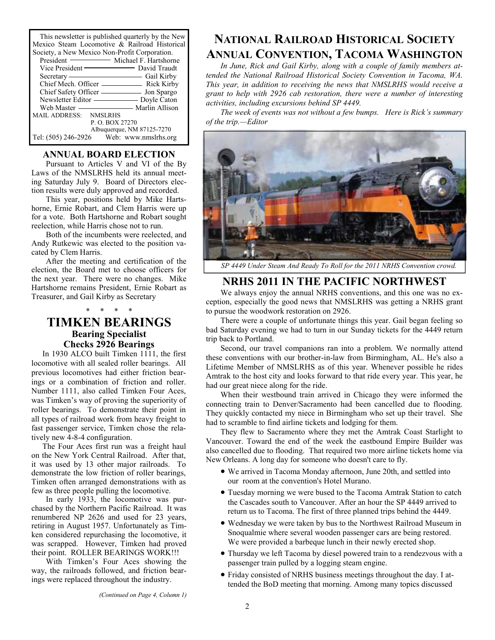This newsletter is published quarterly by the New Mexico Steam Locomotive & Railroad Historical

| Society, a New Mexico Non-Profit Corporation. |  |
|-----------------------------------------------|--|
| President — Michael F. Hartshorne             |  |
|                                               |  |
| Gail Kirby<br>$S$ ecretary —                  |  |
|                                               |  |
|                                               |  |
| Newsletter Editor — Doyle Caton               |  |
|                                               |  |
| MAIL ADDRESS: NMSLRHS                         |  |
| P. O. BOX 27270                               |  |
| Albuquerque, NM 87125-7270                    |  |
| Tel: (505) 246-2926 Web: www.nmslrhs.org      |  |

### **ANNUAL BOARD ELECTION**

Pursuant to Articles V and VI of the By Laws of the NMSLRHS held its annual meeting Saturday July 9. Board of Directors election results were duly approved and recorded.

This year, positions held by Mike Hartshorne, Ernie Robart, and Clem Harris were up for a vote. Both Hartshorne and Robart sought reelection, while Harris chose not to run.

Both of the incumbents were reelected, and Andy Rutkewic was elected to the position vacated by Clem Harris.

After the meeting and certification of the election, the Board met to choose officers for the next year. There were no changes. Mike Hartshorne remains President, Ernie Robart as Treasurer, and Gail Kirby as Secretary

## **TIMKEN BEARINGS Bearing Specialist Checks 2926 Bearings**

\* \* \* \*

In 1930 ALCO built Timken 1111, the first locomotive with all sealed roller bearings. All previous locomotives had either friction bearings or a combination of friction and roller. Number 1111, also called Timken Four Aces, was Timken's way of proving the superiority of roller bearings. To demonstrate their point in all types of railroad work from heavy freight to fast passenger service, Timken chose the relatively new 4-8-4 configuration.

The Four Aces first run was a freight haul on the New York Central Railroad. After that, it was used by 13 other major railroads. To demonstrate the low friction of roller bearings, Timken often arranged demonstrations with as few as three people pulling the locomotive.

In early 1933, the locomotive was purchased by the Northern Pacific Railroad. It was renumbered NP 2626 and used for 23 years, retiring in August 1957. Unfortunately as Timken considered repurchasing the locomotive, it was scrapped. However, Timken had proved their point. ROLLER BEARINGS WORK!!!

With Timken's Four Aces showing the way, the railroads followed, and friction bearings were replaced throughout the industry.

## **NATIONAL RAILROAD HISTORICAL SOCIETY ANNUAL CONVENTION, TACOMA WASHINGTON**

*In June, Rick and Gail Kirby, along with a couple of family members attended the National Railroad Historical Society Convention in Tacoma, WA. This year, in addition to receiving the news that NMSLRHS would receive a grant to help with 2926 cab restoration, there were a number of interesting activities, including excursions behind SP 4449.*

*The week of events was not without a few bumps. Here is Rick's summary of the trip.—Editor*



*SP 4449 Under Steam And Ready To Roll for the 2011 NRHS Convention crowd.*

## **NRHS 2011 IN THE PACIFIC NORTHWEST**

We always enjoy the annual NRHS conventions, and this one was no exception, especially the good news that NMSLRHS was getting a NRHS grant to pursue the woodwork restoration on 2926.

There were a couple of unfortunate things this year. Gail began feeling so bad Saturday evening we had to turn in our Sunday tickets for the 4449 return trip back to Portland.

Second, our travel companions ran into a problem. We normally attend these conventions with our brother-in-law from Birmingham, AL. He's also a Lifetime Member of NMSLRHS as of this year. Whenever possible he rides Amtrak to the host city and looks forward to that ride every year. This year, he had our great niece along for the ride.

When their westbound train arrived in Chicago they were informed the connecting train to Denver/Sacramento had been cancelled due to flooding. They quickly contacted my niece in Birmingham who set up their travel. She had to scramble to find airline tickets and lodging for them.

They flew to Sacramento where they met the Amtrak Coast Starlight to Vancouver. Toward the end of the week the eastbound Empire Builder was also cancelled due to flooding. That required two more airline tickets home via New Orleans. A long day for someone who doesn't care to fly.

- We arrived in Tacoma Monday afternoon, June 20th, and settled into our room at the convention's Hotel Murano.
- Tuesday morning we were bused to the Tacoma Amtrak Station to catch the Cascades south to Vancouver. After an hour the SP 4449 arrived to return us to Tacoma. The first of three planned trips behind the 4449.
- Wednesday we were taken by bus to the Northwest Railroad Museum in Snoqualmie where several wooden passenger cars are being restored. We were provided a barbeque lunch in their newly erected shop.
- Thursday we left Tacoma by diesel powered train to a rendezvous with a passenger train pulled by a logging steam engine.
- Friday consisted of NRHS business meetings throughout the day. I attended the BoD meeting that morning. Among many topics discussed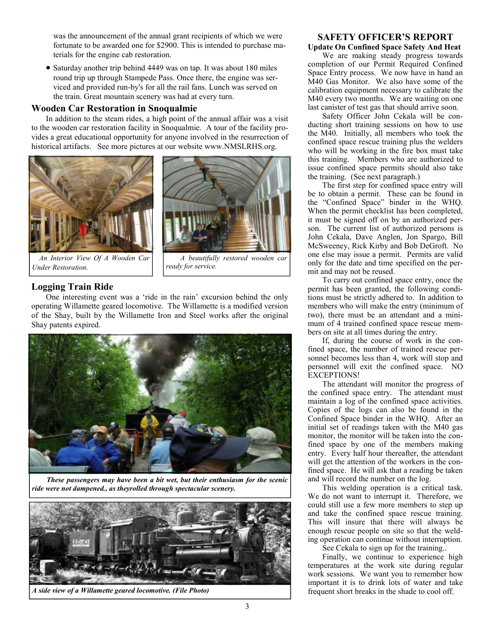was the announcement of the annual grant recipients of which we were fortunate to be awarded one for \$2900. This is intended to purchase materials for the engine cab restoration.

• Saturday another trip behind 4449 was on tap. It was about 180 miles round trip up through Stampede Pass. Once there, the engine was serviced and provided run-by's for all the rail fans. Lunch was served on the train. Great mountain scenery was had at every turn.

### **Wooden Car Restoration in Snoqualmie**

In addition to the steam rides, a high point of the annual affair was a visit to the wooden car restoration facility in Snoqualmie. A tour of the facility provides a great educational opportunity for anyone involved in the resurrection of historical artifacts. See more pictures at our website www.NMSLRHS.org.





*An Interior View Of A Wooden Car Under Restoration.*

*A beautifully restored wooden car ready for service.*

### **Logging Train Ride**

One interesting event was a 'ride in the rain' excursion behind the only operating Willamette geared locomotive. The Willamette is a modified version of the Shay, built by the Willamette Iron and Steel works after the original Shay patents expired.



*These passengers may have been a bit wet, but their enthusiasm for the scenic ride were not dampened., as theyrolled through spectacular scenery.*



*A side view of a Willamette geared locomotive. (File Photo)*

### **SAFETY OFFICER'S REPORT Update On Confined Space Safety And Heat**

We are making steady progress towards completion of our Permit Required Confined Space Entry process. We now have in hand an M40 Gas Monitor. We also have some of the calibration equipment necessary to calibrate the M40 every two months. We are waiting on one last canister of test gas that should arrive soon.

Safety Officer John Cekala will be conducting short training sessions on how to use the M40. Initially, all members who took the confined space rescue training plus the welders who will be working in the fire box must take this training. Members who are authorized to issue confined space permits should also take the training. (See next paragraph.)

The first step for confined space entry will be to obtain a permit. These can be found in the "Confined Space" binder in the WHQ. When the permit checklist has been completed, it must be signed off on by an authorized person. The current list of authorized persons is John Cekala, Dave Anglen, Jon Spargo, Bill McSweeney, Rick Kirby and Bob DeGroft. No one else may issue a permit. Permits are valid only for the date and time specified on the permit and may not be reused.

To carry out confined space entry, once the permit has been granted, the following conditions must be strictly adhered to. In addition to members who will make the entry (minimum of two), there must be an attendant and a minimum of 4 trained confined space rescue members on site at all times during the entry.

If, during the course of work in the confined space, the number of trained rescue personnel becomes less than 4, work will stop and personnel will exit the confined space. NO EXCEPTIONS!

The attendant will monitor the progress of the confined space entry. The attendant must maintain a log of the confined space activities. Copies of the logs can also be found in the Confined Space binder in the WHQ. After an initial set of readings taken with the M40 gas monitor, the monitor will be taken into the confined space by one of the members making entry. Every half hour thereafter, the attendant will get the attention of the workers in the confined space. He will ask that a reading be taken and will record the number on the log.

This welding operation is a critical task. We do not want to interrupt it. Therefore, we could still use a few more members to step up and take the confined space rescue training. This will insure that there will always be enough rescue people on site so that the welding operation can continue without interruption.

See Cekala to sign up for the training..

Finally, we continue to experience high temperatures at the work site during regular work sessions. We want you to remember how important it is to drink lots of water and take frequent short breaks in the shade to cool off.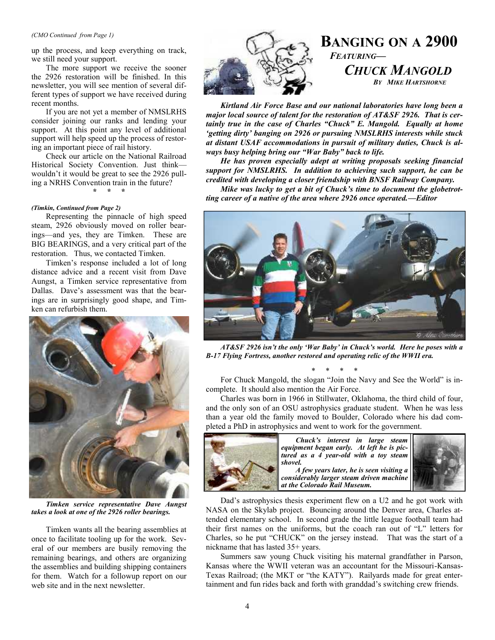#### *(CMO Continued from Page 1)*

up the process, and keep everything on track, we still need your support.

The more support we receive the sooner the 2926 restoration will be finished. In this newsletter, you will see mention of several different types of support we have received during recent months.

If you are not yet a member of NMSLRHS consider joining our ranks and lending your support. At this point any level of additional support will help speed up the process of restoring an important piece of rail history.

Check our article on the National Railroad Historical Society Convention. Just think wouldn't it would be great to see the 2926 pulling a NRHS Convention train in the future?

**\* \* \***

#### *(Timkin, Continued from Page 2)*

Representing the pinnacle of high speed steam, 2926 obviously moved on roller bearings—and yes, they are Timken. These are BIG BEARINGS, and a very critical part of the restoration. Thus, we contacted Timken.

Timken's response included a lot of long distance advice and a recent visit from Dave Aungst, a Timken service representative from Dallas. Dave's assessment was that the bearings are in surprisingly good shape, and Timken can refurbish them.



*Timken service representative Dave Aungst takes a look at one of the 2926 roller bearings.*

Timken wants all the bearing assemblies at once to facilitate tooling up for the work. Several of our members are busily removing the remaining bearings, and others are organizing the assemblies and building shipping containers for them. Watch for a followup report on our web site and in the next newsletter.



## **BANGING ON A 2900** *FEATURING— CHUCK MANGOLD BY MIKE HARTSHORNE*

*Kirtland Air Force Base and our national laboratories have long been a major local source of talent for the restoration of AT&SF 2926. That is certainly true in the case of Charles "Chuck" E. Mangold. Equally at home 'getting dirty' banging on 2926 or pursuing NMSLRHS interests while stuck at distant USAF accommodations in pursuit of military duties, Chuck is always busy helping bring our "War Baby" back to life.*

*He has proven especially adept at writing proposals seeking financial support for NMSLRHS. In addition to achieving such support, he can be credited with developing a closer friendship with BNSF Railway Company.*

*Mike was lucky to get a bit of Chuck's time to document the globetrotting career of a native of the area where 2926 once operated.—Editor*



*AT&SF 2926 isn't the only 'War Baby' in Chuck's world. Here he poses with a B-17 Flying Fortress, another restored and operating relic of the WWII era.*

\* \* \* \*

For Chuck Mangold, the slogan "Join the Navy and See the World" is incomplete. It should also mention the Air Force.

Charles was born in 1966 in Stillwater, Oklahoma, the third child of four, and the only son of an OSU astrophysics graduate student. When he was less than a year old the family moved to Boulder, Colorado where his dad completed a PhD in astrophysics and went to work for the government.



*Chuck's interest in large steam equipment began early. At left he is pictured as a 4 year-old with a toy steam shovel. A few years later, he is seen visiting a considerably larger steam driven machine at the Colorado Rail Museum.*



Dad's astrophysics thesis experiment flew on a U2 and he got work with NASA on the Skylab project. Bouncing around the Denver area, Charles attended elementary school. In second grade the little league football team had their first names on the uniforms, but the coach ran out of "L" letters for Charles, so he put "CHUCK" on the jersey instead. That was the start of a nickname that has lasted 35+ years.

Summers saw young Chuck visiting his maternal grandfather in Parson, Kansas where the WWII veteran was an accountant for the Missouri-Kansas- Texas Railroad; (the MKT or "the KATY"). Railyards made for great entertainment and fun rides back and forth with granddad's switching crew friends.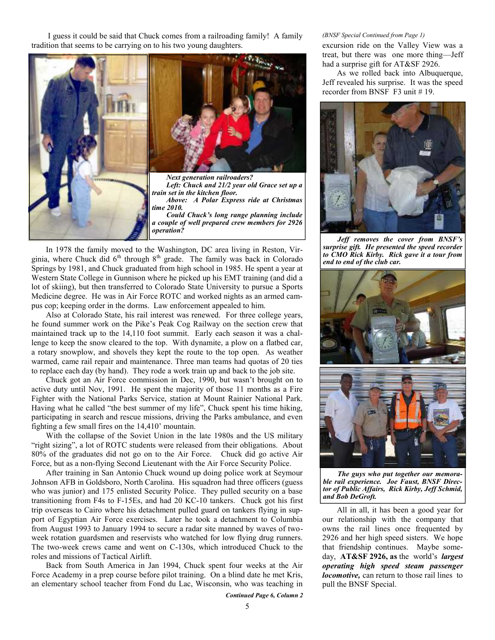I guess it could be said that Chuck comes from a railroading family! A family tradition that seems to be carrying on to his two young daughters.



In 1978 the family moved to the Washington, DC area living in Reston, Virginia, where Chuck did  $6<sup>th</sup>$  through  $8<sup>th</sup>$  grade. The family was back in Colorado Springs by 1981, and Chuck graduated from high school in 1985. He spent a year at Western State College in Gunnison where he picked up his EMT training (and did a lot of skiing), but then transferred to Colorado State University to pursue a Sports Medicine degree. He was in Air Force ROTC and worked nights as an armed campus cop; keeping order in the dorms. Law enforcement appealed to him.

Also at Colorado State, his rail interest was renewed. For three college years, he found summer work on the Pike's Peak Cog Railway on the section crew that maintained track up to the 14,110 foot summit. Early each season it was a challenge to keep the snow cleared to the top. With dynamite, a plow on a flatbed car, a rotary snowplow, and shovels they kept the route to the top open. As weather warmed, came rail repair and maintenance. Three man teams had quotas of 20 ties to replace each day (by hand). They rode a work train up and back to the job site.

Chuck got an Air Force commission in Dec, 1990, but wasn't brought on to active duty until Nov, 1991. He spent the majority of those 11 months as a Fire Fighter with the National Parks Service, station at Mount Rainier National Park. Having what he called "the best summer of my life", Chuck spent his time hiking, participating in search and rescue missions, driving the Parks ambulance, and even fighting a few small fires on the 14,410' mountain.

With the collapse of the Soviet Union in the late 1980s and the US military "right sizing", a lot of ROTC students were released from their obligations. About 80% of the graduates did not go on to the Air Force. Chuck did go active Air Force, but as a non-flying Second Lieutenant with the Air Force Security Police.

After training in San Antonio Chuck wound up doing police work at Seymour Johnson AFB in Goldsboro, North Carolina. His squadron had three officers (guess who was junior) and 175 enlisted Security Police. They pulled security on a base transitioning from F4s to F-15Es, and had 20 KC-10 tankers. Chuck got his first trip overseas to Cairo where his detachment pulled guard on tankers flying in support of Egyptian Air Force exercises. Later he took a detachment to Columbia from August 1993 to January 1994 to secure a radar site manned by waves of two week rotation guardsmen and reservists who watched for low flying drug runners. The two-week crews came and went on C-130s, which introduced Chuck to the roles and missions of Tactical Airlift.

Back from South America in Jan 1994, Chuck spent four weeks at the Air Force Academy in a prep course before pilot training. On a blind date he met Kris, an elementary school teacher from Fond du Lac, Wisconsin, who was teaching in

### *Continued Page 6, Column 2*

#### *(BNSF Special Continued from Page 1)*

excursion ride on the Valley View was a treat, but there was one more thing—Jeff had a surprise gift for AT&SF 2926.

As we rolled back into Albuquerque, Jeff revealed his surprise. It was the speed recorder from BNSF F3 unit # 19.



*Jeff removes the cover from BNSF's surprise gift. He presented the speed recorder to CMO Rick Kirby. Rick gave it a tour from end to end of the club car.*



*The guys who put together our memorable rail experience. Joe Faust, BNSF Director of Public Affairs, Rick Kirby, Jeff Schmid, and Bob DeGroft.*

All in all, it has been a good year for our relationship with the company that owns the rail lines once frequented by 2926 and her high speed sisters. We hope that friendship continues. Maybe someday, **AT&SF 2926, as** the world's *largest operating high speed steam passenger locomotive,* can return to those rail lines to pull the BNSF Special.

5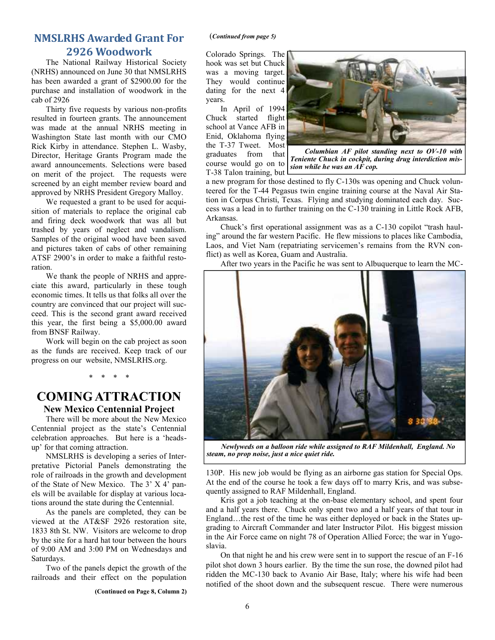## **NMSLRHS Awarded Grant For 2926 Woodwork**

The National Railway Historical Society (NRHS) announced on June 30 that NMSLRHS has been awarded a grant of \$2900.00 for the purchase and installation of woodwork in the cab of 2926

Thirty five requests by various non-profits resulted in fourteen grants. The announcement was made at the annual NRHS meeting in Washington State last month with our CMO Rick Kirby in attendance. Stephen L. Wasby, Director, Heritage Grants Program made the award announcements. Selections were based on merit of the project. The requests were screened by an eight member review board and approved by NRHS President Gregory Malloy.

We requested a grant to be used for acquisition of materials to replace the original cab and firing deck woodwork that was all but trashed by years of neglect and vandalism. Samples of the original wood have been saved and pictures taken of cabs of other remaining ATSF 2900's in order to make a faithful restoration.

We thank the people of NRHS and appreciate this award, particularly in these tough economic times. It tells us that folks all over the country are convinced that our project will succeed. This is the second grant award received this year, the first being a \$5,000.00 award from BNSF Railway.

Work will begin on the cab project as soon as the funds are received. Keep track of our progress on our website, NMSLRHS.org.

\* \* \* \*

### **COMING ATTRACTION New Mexico Centennial Project**

There will be more about the New Mexico Centennial project as the state's Centennial celebration approaches. But here is a 'heads up' for that coming attraction.

NMSLRHS is developing a series of Interpretative Pictorial Panels demonstrating the role of railroads in the growth and development of the State of New Mexico. The 3' X 4' panels will be available for display at various locations around the state during the Centennial.

As the panels are completed, they can be viewed at the AT&SF 2926 restoration site, 1833 8th St. NW. Visitors are welcome to drop by the site for a hard hat tour between the hours of 9:00 AM and 3:00 PM on Wednesdays and Saturdays.

Two of the panels depict the growth of the railroads and their effect on the population

**(Continued on Page 8, Column 2)**

#### (*Continued from page 5)*

Colorado Springs. The hook was set but Chuck was a moving target. They would continue dating for the next 4 years.

In April of 1994 Chuck started flight school at Vance AFB in Enid, Oklahoma flying the T-37 Tweet. Most graduates from that course would go on to T-38 Talon training, but



*Columbian AF pilot standing next to OV-10 with Teniente Chuck in cockpit, during drug interdiction mission while he was an AF cop.*

a new program for those destined to fly C-130s was opening and Chuck volunteered for the T-44 Pegasus twin engine training course at the Naval Air Station in Corpus Christi, Texas. Flying and studying dominated each day. Success was a lead in to further training on the C-130 training in Little Rock AFB, Arkansas.

Chuck's first operational assignment was as a C-130 copilot "trash hauling" around the far western Pacific. He flew missions to places like Cambodia, Laos, and Viet Nam (repatriating servicemen's remains from the RVN conflict) as well as Korea, Guam and Australia.

After two years in the Pacific he was sent to Albuquerque to learn the MC-



*Newlyweds on a balloon ride while assigned to RAF Mildenhall, England. No steam, no prop noise, just a nice quiet ride.*

130P. His new job would be flying as an airborne gas station for Special Ops. At the end of the course he took a few days off to marry Kris, and was subsequently assigned to RAF Mildenhall, England.

Kris got a job teaching at the on-base elementary school, and spent four and a half years there. Chuck only spent two and a half years of that tour in England…the rest of the time he was either deployed or back in the States upgrading to Aircraft Commander and later Instructor Pilot. His biggest mission in the Air Force came on night 78 of Operation Allied Force; the war in Yugoslavia.

On that night he and his crew were sent in to support the rescue of an F-16 pilot shot down 3 hours earlier. By the time the sun rose, the downed pilot had ridden the MC-130 back to Avanio Air Base, Italy; where his wife had been notified of the shoot down and the subsequent rescue. There were numerous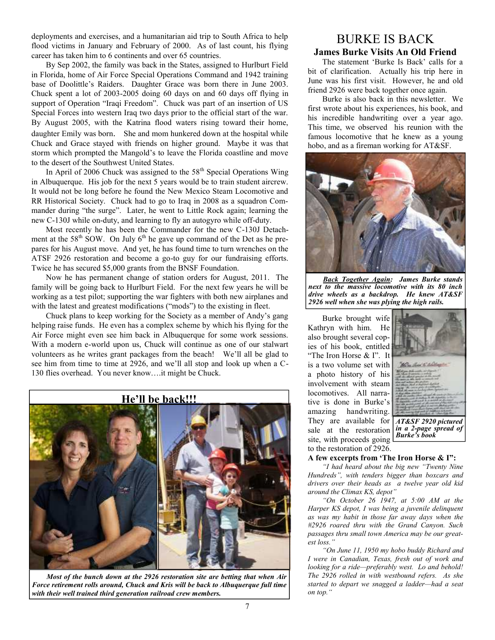deployments and exercises, and a humanitarian aid trip to South Africa to help flood victims in January and February of 2000. As of last count, his flying career has taken him to 6 continents and over 65 countries.

By Sep 2002, the family was back in the States, assigned to Hurlburt Field in Florida, home of Air Force Special Operations Command and 1942 training base of Doolittle's Raiders. Daughter Grace was born there in June 2003. Chuck spent a lot of 2003-2005 doing 60 days on and 60 days off flying in support of Operation "Iraqi Freedom". Chuck was part of an insertion of US Special Forces into western Iraq two days prior to the official start of the war. By August 2005, with the Katrina flood waters rising toward their home, daughter Emily was born. She and mom hunkered down at the hospital while Chuck and Grace stayed with friends on higher ground. Maybe it was that storm which prompted the Mangold's to leave the Florida coastline and move to the desert of the Southwest United States.

In April of 2006 Chuck was assigned to the  $58<sup>th</sup>$  Special Operations Wing in Albuquerque. His job for the next 5 years would be to train student aircrew. It would not be long before he found the New Mexico Steam Locomotive and RR Historical Society. Chuck had to go to Iraq in 2008 as a squadron Commander during "the surge". Later, he went to Little Rock again; learning the new C-130J while on-duty, and learning to fly an autogyro while off-duty.

Most recently he has been the Commander for the new C-130J Detachment at the  $58<sup>th</sup>$  SOW. On July  $6<sup>th</sup>$  he gave up command of the Det as he prepares for his August move. And yet, he has found time to turn wrenches on the ATSF 2926 restoration and become a go-to guy for our fundraising efforts. Twice he has secured \$5,000 grants from the BNSF Foundation.

Now he has permanent change of station orders for August, 2011. The family will be going back to Hurlburt Field. For the next few years he will be working as a test pilot; supporting the war fighters with both new airplanes and with the latest and greatest modifications ("mods") to the existing in fleet.

Chuck plans to keep working for the Society as a member of Andy's gang helping raise funds. He even has a complex scheme by which his flying for the Air Force might even see him back in Albuquerque for some work sessions. With a modern e-world upon us, Chuck will continue as one of our stalwart volunteers as he writes grant packages from the beach! We'll all be glad to see him from time to time at 2926, and we'll all stop and look up when a C- 130 flies overhead. You never know….it might be Chuck.



*Most of the bunch down at the 2926 restoration site are betting that when Air Force retirement rolls around, Chuck and Kris will be back to Albuquerque full time with their well trained third generation railroad crew members.*

## BURKE IS BACK **James Burke Visits An Old Friend**

The statement 'Burke Is Back' calls for a bit of clarification. Actually his trip here in June was his first visit. However, he and old friend 2926 were back together once again.

Burke is also back in this newsletter. We first wrote about his experiences, his book, and his incredible handwriting over a year ago. This time, we observed his reunion with the famous locomotive that he knew as a young hobo, and as a fireman working for AT&SF.



*Back Together Again: James Burke stands next to the massive locomotive with its 80 inch drive wheels as a backdrop. He knew AT&SF 2926 well when she was plying the high rails.*

Burke brought wife Kathryn with him. He also brought several copies of his book, entitled "The Iron Horse & I". It is a two volume set with a photo history of his involvement with steam locomotives. All narrative is done in Burke's amazing handwriting. They are available for sale at the restoration site, with proceeds going to the restoration of 2926.



*AT&SF 2920 pictured in a 2-page spread of Burke's book*

### **A few excerpts from 'The Iron Horse & I":**

*"I had heard about the big new "Twenty Nine Hundreds", with tenders bigger than boxcars and drivers over their heads as a twelve year old kid around the Climax KS, depot"*

*"On October 26 1947, at 5:00 AM at the Harper KS depot, I was being a juvenile delinquent as was my habit in those far away days when the #2926 roared thru with the Grand Canyon. Such passages thru small town America may be our greatest loss."*

*"On June 11, 1950 my hobo buddy Richard and I were in Canadian, Texas, fresh out of work and looking for a ride—preferably west. Lo and behold! The 2926 rolled in with westbound refers. As she started to depart we snagged a ladder—had a seat on top."*